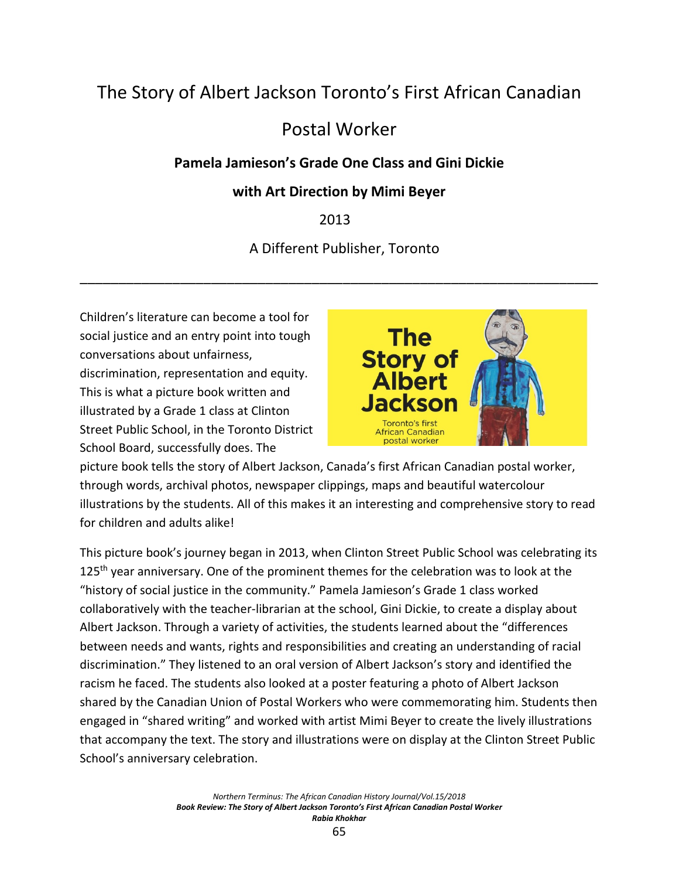# The Story of Albert Jackson Toronto's First African Canadian

## Postal Worker

### **Pamela Jamieson's Grade One Class and Gini Dickie**

#### **with Art Direction by Mimi Beyer**

### 2013

#### A Different Publisher, Toronto

\_\_\_\_\_\_\_\_\_\_\_\_\_\_\_\_\_\_\_\_\_\_\_\_\_\_\_\_\_\_\_\_\_\_\_\_\_\_\_\_\_\_\_\_\_\_\_\_\_\_\_\_\_\_\_\_\_\_\_\_\_\_\_\_\_\_\_

Children's literature can become a tool for social justice and an entry point into tough conversations about unfairness, discrimination, representation and equity. This is what a picture book written and illustrated by a Grade 1 class at Clinton Street Public School, in the Toronto District School Board, successfully does. The



picture book tells the story of Albert Jackson, Canada's first African Canadian postal worker, through words, archival photos, newspaper clippings, maps and beautiful watercolour illustrations by the students. All of this makes it an interesting and comprehensive story to read for children and adults alike!

This picture book's journey began in 2013, when Clinton Street Public School was celebrating its 125<sup>th</sup> year anniversary. One of the prominent themes for the celebration was to look at the "history of social justice in the community." Pamela Jamieson's Grade 1 class worked collaboratively with the teacher-librarian at the school, Gini Dickie, to create a display about Albert Jackson. Through a variety of activities, the students learned about the "differences between needs and wants, rights and responsibilities and creating an understanding of racial discrimination." They listened to an oral version of Albert Jackson's story and identified the racism he faced. The students also looked at a poster featuring a photo of Albert Jackson shared by the Canadian Union of Postal Workers who were commemorating him. Students then engaged in "shared writing" and worked with artist Mimi Beyer to create the lively illustrations that accompany the text. The story and illustrations were on display at the Clinton Street Public School's anniversary celebration.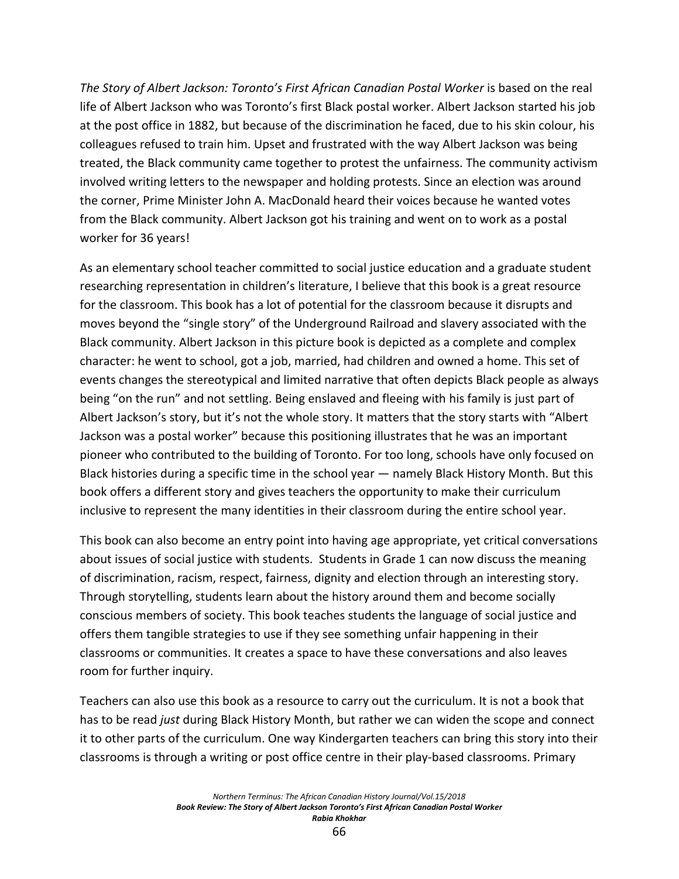*The Story of Albert Jackson: Toronto's First African Canadian Postal Worker* is based on the real life of Albert Jackson who was Toronto's first Black postal worker. Albert Jackson started his job at the post office in 1882, but because of the discrimination he faced, due to his skin colour, his colleagues refused to train him. Upset and frustrated with the way Albert Jackson was being treated, the Black community came together to protest the unfairness. The community activism involved writing letters to the newspaper and holding protests. Since an election was around the corner, Prime Minister John A. MacDonald heard their voices because he wanted votes from the Black community. Albert Jackson got his training and went on to work as a postal worker for 36 years!

As an elementary school teacher committed to social justice education and a graduate student researching representation in children's literature, I believe that this book is a great resource for the classroom. This book has a lot of potential for the classroom because it disrupts and moves beyond the "single story" of the Underground Railroad and slavery associated with the Black community. Albert Jackson in this picture book is depicted as a complete and complex character: he went to school, got a job, married, had children and owned a home. This set of events changes the stereotypical and limited narrative that often depicts Black people as always being "on the run" and not settling. Being enslaved and fleeing with his family is just part of Albert Jackson's story, but it's not the whole story. It matters that the story starts with "Albert Jackson was a postal worker" because this positioning illustrates that he was an important pioneer who contributed to the building of Toronto. For too long, schools have only focused on Black histories during a specific time in the school year — namely Black History Month. But this book offers a different story and gives teachers the opportunity to make their curriculum inclusive to represent the many identities in their classroom during the entire school year.

This book can also become an entry point into having age appropriate, yet critical conversations about issues of social justice with students. Students in Grade 1 can now discuss the meaning of discrimination, racism, respect, fairness, dignity and election through an interesting story. Through storytelling, students learn about the history around them and become socially conscious members of society. This book teaches students the language of social justice and offers them tangible strategies to use if they see something unfair happening in their classrooms or communities. It creates a space to have these conversations and also leaves room for further inquiry.

Teachers can also use this book as a resource to carry out the curriculum. It is not a book that has to be read *just* during Black History Month, but rather we can widen the scope and connect it to other parts of the curriculum. One way Kindergarten teachers can bring this story into their classrooms is through a writing or post office centre in their play-based classrooms. Primary